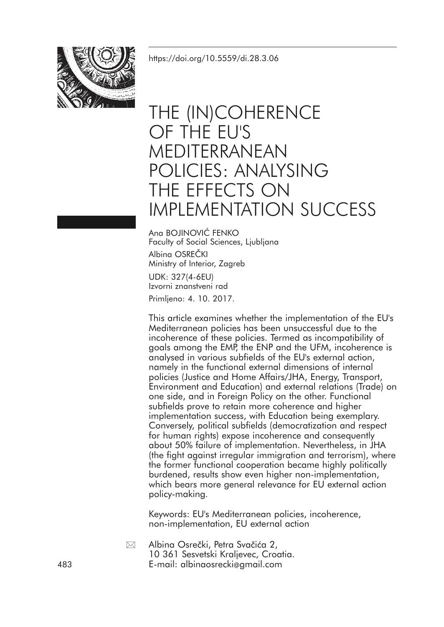<https://doi.org/10.5559/di.28.3.06>



# THE (IN)COHERENCE OF THE EU'S MEDITERRANEAN POLICIES: ANALYSING THE EFFECTS ON IMPLEMENTATION SUCCESS

Ana BOJINOVIĆ FENKO Faculty of Social Sciences, Ljubljana Albina OSREČKI Ministry of Interior, Zagreb

UDK: 327(4-6EU) Izvorni znanstveni rad

Primljeno: 4. 10. 2017.

This article examines whether the implementation of the EU's Mediterranean policies has been unsuccessful due to the incoherence of these policies. Termed as incompatibility of goals among the EMP, the ENP and the UFM, incoherence is analysed in various subfields of the EU's external action, namely in the functional external dimensions of internal policies (Justice and Home Affairs/JHA, Energy, Transport, Environment and Education) and external relations (Trade) on one side, and in Foreign Policy on the other. Functional subfields prove to retain more coherence and higher implementation success, with Education being exemplary. Conversely, political subfields (democratization and respect for human rights) expose incoherence and consequently about 50% failure of implementation. Nevertheless, in JHA (the fight against irregular immigration and terrorism), where the former functional cooperation became highly politically burdened, results show even higher non-implementation, which bears more general relevance for EU external action policy-making.

Keywords: EU's Mediterranean policies, incoherence, non-implementation, EU external action

Albina Osrečki, Petra Svačića 2, 10 361 Sesvetski Kraljevec, Croatia. 483 E-mail: albinaosrecki@gmail.com ⊠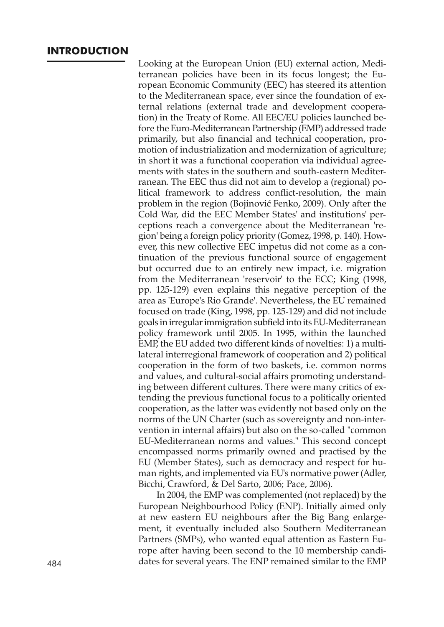#### **INTRODUCTION**

Looking at the European Union (EU) external action, Mediterranean policies have been in its focus longest; the European Economic Community (EEC) has steered its attention to the Mediterranean space, ever since the foundation of external relations (external trade and development cooperation) in the Treaty of Rome. All EEC/EU policies launched before the Euro-Mediterranean Partnership (EMP) addressed trade primarily, but also financial and technical cooperation, promotion of industrialization and modernization of agriculture; in short it was a functional cooperation via individual agreements with states in the southern and south-eastern Mediterranean. The EEC thus did not aim to develop a (regional) political framework to address conflict-resolution, the main problem in the region (Bojinović Fenko, 2009). Only after the Cold War, did the EEC Member States' and institutions' perceptions reach a convergence about the Mediterranean 'region' being a foreign policy priority (Gomez, 1998, p. 140). However, this new collective EEC impetus did not come as a continuation of the previous functional source of engagement but occurred due to an entirely new impact, i.e. migration from the Mediterranean 'reservoir' to the ECC; King (1998, pp. 125-129) even explains this negative perception of the area as 'Europe's Rio Grande'. Nevertheless, the EU remained focused on trade (King, 1998, pp. 125-129) and did not include goals in irregular immigration subfield into its EU-Mediterranean policy framework until 2005. In 1995, within the launched EMP, the EU added two different kinds of novelties: 1) a multilateral interregional framework of cooperation and 2) political cooperation in the form of two baskets, i.e. common norms and values, and cultural-social affairs promoting understanding between different cultures. There were many critics of extending the previous functional focus to a politically oriented cooperation, as the latter was evidently not based only on the norms of the UN Charter (such as sovereignty and non-intervention in internal affairs) but also on the so-called "common EU-Mediterranean norms and values." This second concept encompassed norms primarily owned and practised by the EU (Member States), such as democracy and respect for human rights, and implemented via EU's normative power (Adler, Bicchi, Crawford, & Del Sarto, 2006; Pace, 2006).

In 2004, the EMP was complemented (not replaced) by the European Neighbourhood Policy (ENP). Initially aimed only at new eastern EU neighbours after the Big Bang enlargement, it eventually included also Southern Mediterranean Partners (SMPs), who wanted equal attention as Eastern Europe after having been second to the 10 membership candi-484 dates for several years. The ENP remained similar to the EMP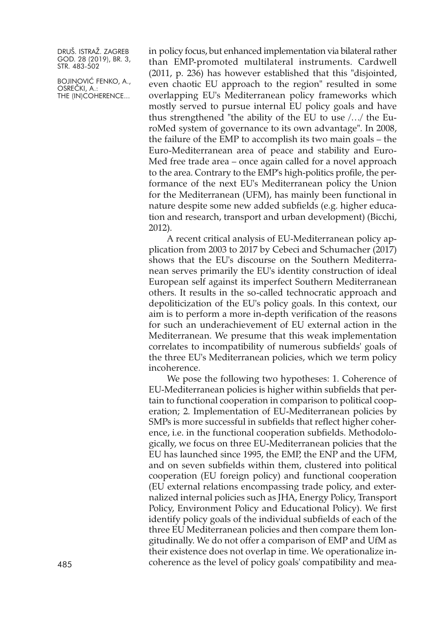BOJINOVIĆ FENKO, A., OSREČKI, A.: THE (IN)COHERENCE...

in policy focus, but enhanced implementation via bilateral rather than EMP-promoted multilateral instruments. Cardwell (2011, p. 236) has however established that this "disjointed, even chaotic EU approach to the region" resulted in some overlapping EU's Mediterranean policy frameworks which mostly served to pursue internal EU policy goals and have thus strengthened "the ability of the EU to use /…/ the EuroMed system of governance to its own advantage". In 2008, the failure of the EMP to accomplish its two main goals – the Euro-Mediterranean area of peace and stability and Euro-Med free trade area – once again called for a novel approach to the area. Contrary to the EMP's high-politics profile, the performance of the next EU's Mediterranean policy the Union for the Mediterranean (UFM), has mainly been functional in nature despite some new added subfields (e.g. higher education and research, transport and urban development) (Bicchi, 2012).

A recent critical analysis of EU-Mediterranean policy application from 2003 to 2017 by Cebeci and Schumacher (2017) shows that the EU's discourse on the Southern Mediterranean serves primarily the EU's identity construction of ideal European self against its imperfect Southern Mediterranean others. It results in the so-called technocratic approach and depoliticization of the EU's policy goals. In this context, our aim is to perform a more in-depth verification of the reasons for such an underachievement of EU external action in the Mediterranean. We presume that this weak implementation correlates to incompatibility of numerous subfields' goals of the three EU's Mediterranean policies, which we term policy incoherence.

We pose the following two hypotheses: 1. Coherence of EU-Mediterranean policies is higher within subfields that pertain to functional cooperation in comparison to political cooperation; 2. Implementation of EU-Mediterranean policies by SMPs is more successful in subfields that reflect higher coherence, i.e. in the functional cooperation subfields. Methodologically, we focus on three EU-Mediterranean policies that the EU has launched since 1995, the EMP, the ENP and the UFM, and on seven subfields within them, clustered into political cooperation (EU foreign policy) and functional cooperation (EU external relations encompassing trade policy, and externalized internal policies such as JHA, Energy Policy, Transport Policy, Environment Policy and Educational Policy). We first identify policy goals of the individual subfields of each of the three EU Mediterranean policies and then compare them longitudinally. We do not offer a comparison of EMP and UfM as their existence does not overlap in time. We operationalize in-485 coherence as the level of policy goals' compatibility and mea-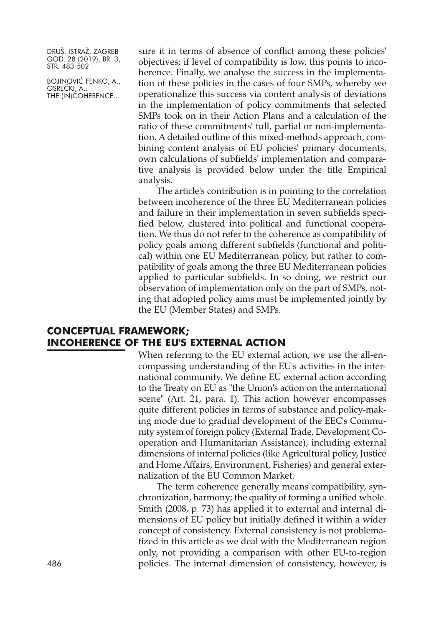BOJINOVIĆ FENKO, A., OSREČKI, A.: THE (IN)COHERENCE...

sure it in terms of absence of conflict among these policies' objectives; if level of compatibility is low, this points to incoherence. Finally, we analyse the success in the implementation of these policies in the cases of four SMPs, whereby we operationalize this success via content analysis of deviations in the implementation of policy commitments that selected SMPs took on in their Action Plans and a calculation of the ratio of these commitments' full, partial or non-implementation. A detailed outline of this mixed-methods approach, combining content analysis of EU policies' primary documents, own calculations of subfields' implementation and comparative analysis is provided below under the title Empirical analysis.

The article's contribution is in pointing to the correlation between incoherence of the three EU Mediterranean policies and failure in their implementation in seven subfields specified below, clustered into political and functional cooperation. We thus do not refer to the coherence as compatibility of policy goals among different subfields (functional and political) within one EU Mediterranean policy, but rather to compatibility of goals among the three EU Mediterranean policies applied to particular subfields. In so doing, we restrict our observation of implementation only on the part of SMPs, noting that adopted policy aims must be implemented jointly by the EU (Member States) and SMPs.

# **CONCEPTUAL FRAMEWORK; INCOHERENCE OF THE EU'S EXTERNAL ACTION**

When referring to the EU external action, we use the all-encompassing understanding of the EU's activities in the international community. We define EU external action according to the Treaty on EU as "the Union's action on the international scene" (Art. 21, para. 1). This action however encompasses quite different policies in terms of substance and policy-making mode due to gradual development of the EEC's Community system of foreign policy (External Trade, Development Cooperation and Humanitarian Assistance), including external dimensions of internal policies (like Agricultural policy, Justice and Home Affairs, Environment, Fisheries) and general externalization of the EU Common Market.

The term coherence generally means compatibility, synchronization, harmony; the quality of forming a unified whole. Smith (2008, p. 73) has applied it to external and internal dimensions of EU policy but initially defined it within a wider concept of consistency. External consistency is not problematized in this article as we deal with the Mediterranean region only, not providing a comparison with other EU-to-region policies. The internal dimension of consistency, however, is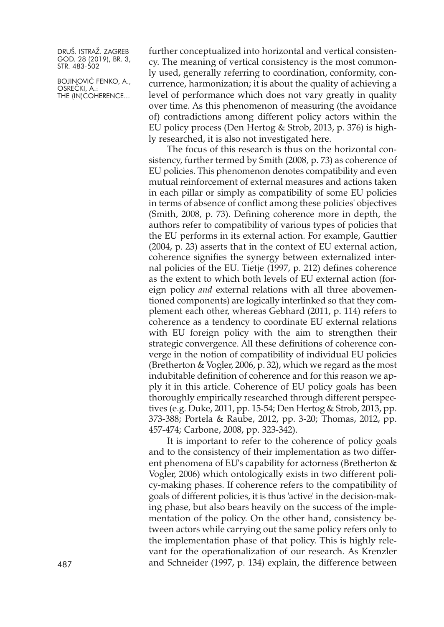BOJINOVIĆ FENKO, A., OSREČKI, A.: THE (IN)COHERENCE...

further conceptualized into horizontal and vertical consistency. The meaning of vertical consistency is the most commonly used, generally referring to coordination, conformity, concurrence, harmonization; it is about the quality of achieving a level of performance which does not vary greatly in quality over time. As this phenomenon of measuring (the avoidance of) contradictions among different policy actors within the EU policy process (Den Hertog & Strob, 2013, p. 376) is highly researched, it is also not investigated here.

The focus of this research is thus on the horizontal consistency, further termed by Smith (2008, p. 73) as coherence of EU policies. This phenomenon denotes compatibility and even mutual reinforcement of external measures and actions taken in each pillar or simply as compatibility of some EU policies in terms of absence of conflict among these policies' objectives (Smith, 2008, p. 73). Defining coherence more in depth, the authors refer to compatibility of various types of policies that the EU performs in its external action. For example, Gauttier (2004, p. 23) asserts that in the context of EU external action, coherence signifies the synergy between externalized internal policies of the EU. Tietje (1997, p. 212) defines coherence as the extent to which both levels of EU external action (foreign policy *and* external relations with all three abovementioned components) are logically interlinked so that they complement each other, whereas Gebhard (2011, p. 114) refers to coherence as a tendency to coordinate EU external relations with EU foreign policy with the aim to strengthen their strategic convergence. All these definitions of coherence converge in the notion of compatibility of individual EU policies (Bretherton & Vogler, 2006, p. 32), which we regard as the most indubitable definition of coherence and for this reason we apply it in this article. Coherence of EU policy goals has been thoroughly empirically researched through different perspectives (e.g. Duke, 2011, pp. 15-54; Den Hertog & Strob, 2013, pp. 373-388; Portela & Raube, 2012, pp. 3-20; Thomas, 2012, pp. 457-474; Carbone, 2008, pp. 323-342).

It is important to refer to the coherence of policy goals and to the consistency of their implementation as two different phenomena of EU's capability for actorness (Bretherton & Vogler, 2006) which ontologically exists in two different policy-making phases. If coherence refers to the compatibility of goals of different policies, it is thus 'active' in the decision-making phase, but also bears heavily on the success of the implementation of the policy. On the other hand, consistency between actors while carrying out the same policy refers only to the implementation phase of that policy. This is highly relevant for the operationalization of our research. As Krenzler 487 and Schneider (1997, p. 134) explain, the difference between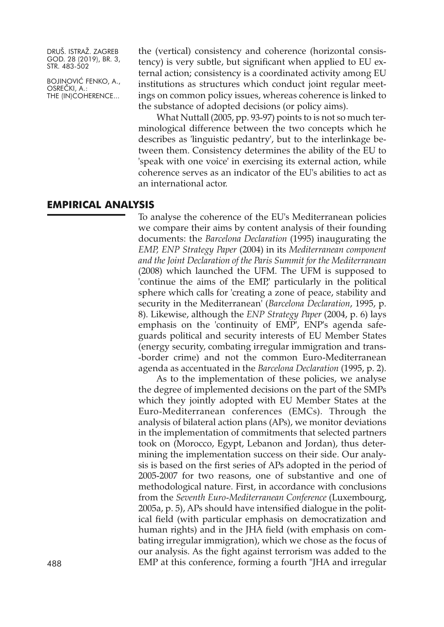BOJINOVIĆ FENKO, A., OSREČKI, A.: THE (IN)COHERENCE...

the (vertical) consistency and coherence (horizontal consistency) is very subtle, but significant when applied to EU external action; consistency is a coordinated activity among EU institutions as structures which conduct joint regular meetings on common policy issues, whereas coherence is linked to the substance of adopted decisions (or policy aims).

What Nuttall (2005, pp. 93-97) points to is not so much terminological difference between the two concepts which he describes as 'linguistic pedantry', but to the interlinkage between them. Consistency determines the ability of the EU to 'speak with one voice' in exercising its external action, while coherence serves as an indicator of the EU's abilities to act as an international actor.

# **EMPIRICAL ANALYSIS**

To analyse the coherence of the EU's Mediterranean policies we compare their aims by content analysis of their founding documents: the *Barcelona Declaration* (1995) inaugurating the *EMP, ENP Strategy Paper* (2004) in its *Mediterranean component and the Joint Declaration of the Paris Summit for the Mediterranean* (2008) which launched the UFM. The UFM is supposed to 'continue the aims of the EMP,' particularly in the political sphere which calls for 'creating a zone of peace, stability and security in the Mediterranean' (*Barcelona Declaration*, 1995, p. 8). Likewise, although the *ENP Strategy Paper* (2004, p. 6) lays emphasis on the 'continuity of EMP', ENP's agenda safeguards political and security interests of EU Member States (energy security, combating irregular immigration and trans- -border crime) and not the common Euro-Mediterranean agenda as accentuated in the *Barcelona Declaration* (1995, p. 2).

As to the implementation of these policies, we analyse the degree of implemented decisions on the part of the SMPs which they jointly adopted with EU Member States at the Euro-Mediterranean conferences (EMCs). Through the analysis of bilateral action plans (APs), we monitor deviations in the implementation of commitments that selected partners took on (Morocco, Egypt, Lebanon and Jordan), thus determining the implementation success on their side. Our analysis is based on the first series of APs adopted in the period of 2005-2007 for two reasons, one of substantive and one of methodological nature. First, in accordance with conclusions from the *Seventh Euro-Mediterranean Conference* (Luxembourg, 2005a, p. 5), APs should have intensified dialogue in the political field (with particular emphasis on democratization and human rights) and in the JHA field (with emphasis on combating irregular immigration), which we chose as the focus of our analysis. As the fight against terrorism was added to the EMP at this conference, forming a fourth "JHA and irregular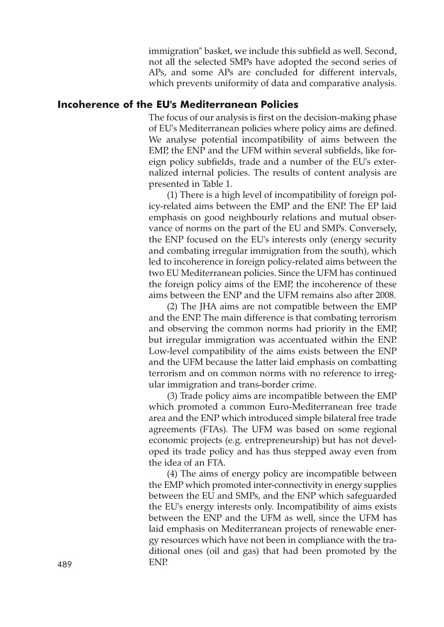immigration" basket, we include this subfield as well. Second, not all the selected SMPs have adopted the second series of APs, and some APs are concluded for different intervals, which prevents uniformity of data and comparative analysis.

### **Incoherence of the EU's Mediterranean Policies**

The focus of our analysis is first on the decision-making phase of EU's Mediterranean policies where policy aims are defined. We analyse potential incompatibility of aims between the EMP, the ENP and the UFM within several subfields, like foreign policy subfields, trade and a number of the EU's externalized internal policies. The results of content analysis are presented in Table 1.

(1) There is a high level of incompatibility of foreign policy-related aims between the EMP and the ENP. The EP laid emphasis on good neighbourly relations and mutual observance of norms on the part of the EU and SMPs. Conversely, the ENP focused on the EU's interests only (energy security and combating irregular immigration from the south), which led to incoherence in foreign policy-related aims between the two EU Mediterranean policies. Since the UFM has continued the foreign policy aims of the EMP, the incoherence of these aims between the ENP and the UFM remains also after 2008.

(2) The JHA aims are not compatible between the EMP and the ENP. The main difference is that combating terrorism and observing the common norms had priority in the EMP, but irregular immigration was accentuated within the ENP. Low-level compatibility of the aims exists between the ENP and the UFM because the latter laid emphasis on combatting terrorism and on common norms with no reference to irregular immigration and trans-border crime.

(3) Trade policy aims are incompatible between the EMP which promoted a common Euro-Mediterranean free trade area and the ENP which introduced simple bilateral free trade agreements (FTAs). The UFM was based on some regional economic projects (e.g. entrepreneurship) but has not developed its trade policy and has thus stepped away even from the idea of an FTA.

(4) The aims of energy policy are incompatible between the EMP which promoted inter-connectivity in energy supplies between the EU and SMPs, and the ENP which safeguarded the EU's energy interests only. Incompatibility of aims exists between the ENP and the UFM as well, since the UFM has laid emphasis on Mediterranean projects of renewable energy resources which have not been in compliance with the traditional ones (oil and gas) that had been promoted by the 489 ENP.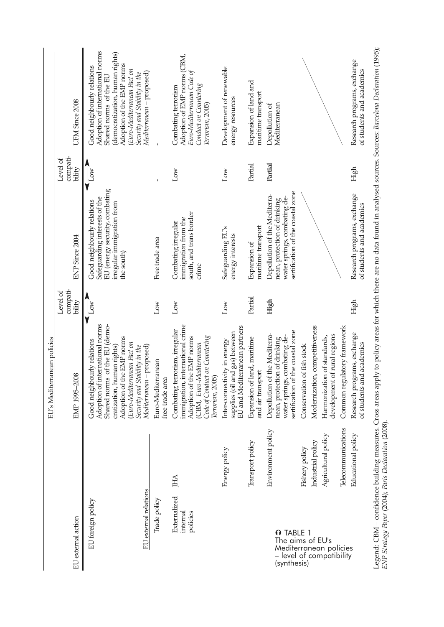$\mathcal{L}$  $\frac{1}{2}$ ΓL ENP Strategy Paper (2004); Paris Declaration (2008). *ENP Strategy Paper* (2004); *Paris Declaration* (2008).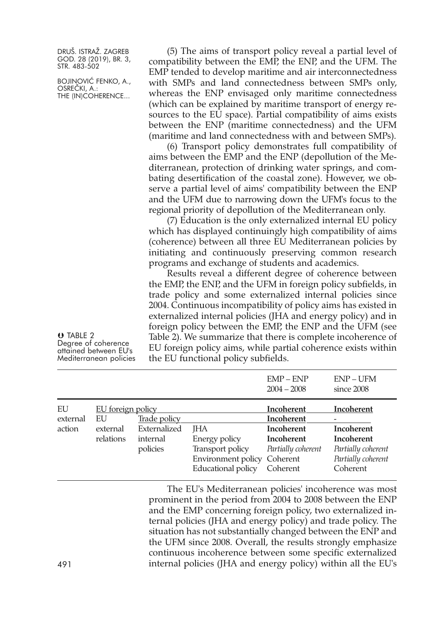BOJINOVIĆ FENKO, A., OSREČKI, A.: THE (IN)COHERENCE...

(5) The aims of transport policy reveal a partial level of compatibility between the EMP, the ENP, and the UFM. The EMP tended to develop maritime and air interconnectedness with SMPs and land connectedness between SMPs only, whereas the ENP envisaged only maritime connectedness (which can be explained by maritime transport of energy resources to the EU space). Partial compatibility of aims exists between the ENP (maritime connectedness) and the UFM (maritime and land connectedness with and between SMPs).

(6) Transport policy demonstrates full compatibility of aims between the EMP and the ENP (depollution of the Mediterranean, protection of drinking water springs, and combating desertification of the coastal zone). However, we observe a partial level of aims' compatibility between the ENP and the UFM due to narrowing down the UFM's focus to the regional priority of depollution of the Mediterranean only.

(7) Education is the only externalized internal EU policy which has displayed continuingly high compatibility of aims (coherence) between all three EU Mediterranean policies by initiating and continuously preserving common research programs and exchange of students and academics.

Results reveal a different degree of coherence between the EMP, the ENP, and the UFM in foreign policy subfields, in trade policy and some externalized internal policies since 2004. Continuous incompatibility of policy aims has existed in externalized internal policies (JHA and energy policy) and in foreign policy between the EMP, the ENP and the UFM (see Table 2). We summarize that there is complete incoherence of EU foreign policy aims, while partial coherence exists within the EU functional policy subfields.

| $O$ TABLE 2            |
|------------------------|
| Degree of coherence    |
| attained between EU's  |
| Mediterranean policies |

|                          |                                                         |                                                      |                                                                                                    | $EMP - ENP$<br>$2004 - 2008$                                                                              | $END - UFM$<br>since 2008                                                                             |
|--------------------------|---------------------------------------------------------|------------------------------------------------------|----------------------------------------------------------------------------------------------------|-----------------------------------------------------------------------------------------------------------|-------------------------------------------------------------------------------------------------------|
| EU<br>external<br>action | <b>EU</b> foreign policy<br>EU<br>external<br>relations | Trade policy<br>Externalized<br>internal<br>policies | <b>IHA</b><br>Energy policy<br>Transport policy<br>Environment policy<br><b>Educational policy</b> | Incoherent<br>Incoherent<br><b>Incoherent</b><br>Incoherent<br>Partially coherent<br>Coherent<br>Coherent | Incoherent<br><b>Incoherent</b><br>Incoherent<br>Partially coherent<br>Partially coherent<br>Coherent |

The EU's Mediterranean policies' incoherence was most prominent in the period from 2004 to 2008 between the ENP and the EMP concerning foreign policy, two externalized internal policies (JHA and energy policy) and trade policy. The situation has not substantially changed between the ENP and the UFM since 2008. Overall, the results strongly emphasize continuous incoherence between some specific externalized 491 internal policies (JHA and energy policy) within all the EU's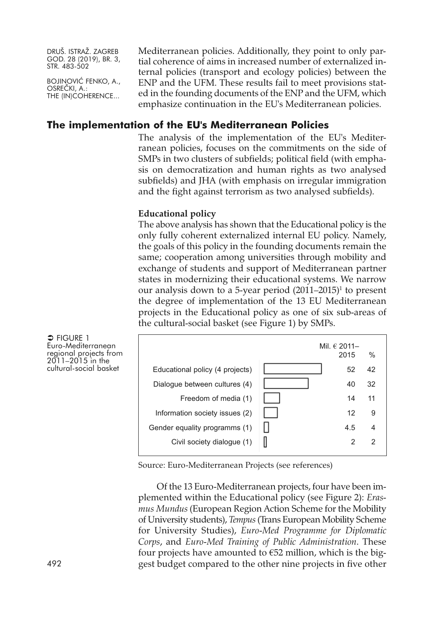BOJINOVIĆ FENKO, A., OSREČKI, A.: THE (IN)COHERENCE...

Mediterranean policies. Additionally, they point to only partial coherence of aims in increased number of externalized internal policies (transport and ecology policies) between the ENP and the UFM. These results fail to meet provisions stated in the founding documents of the ENP and the UFM, which emphasize continuation in the EU's Mediterranean policies.

# **The implementation of the EU's Mediterranean Policies**

The analysis of the implementation of the EU's Mediterranean policies, focuses on the commitments on the side of SMPs in two clusters of subfields; political field (with emphasis on democratization and human rights as two analysed subfields) and JHA (with emphasis on irregular immigration and the fight against terrorism as two analysed subfields).

#### **Educational policy**

The above analysis has shown that the Educational policy is the only fully coherent externalized internal EU policy. Namely, the goals of this policy in the founding documents remain the same; cooperation among universities through mobility and exchange of students and support of Mediterranean partner states in modernizing their educational systems. We narrow our analysis down to a 5-year period  $(2011-2015)^1$  to present the degree of implementation of the 13 EU Mediterranean projects in the Educational policy as one of six sub-areas of the cultural-social basket (see Figure 1) by SMPs.



Source: Euro-Mediterranean Projects (see references)

Of the 13 Euro-Mediterranean projects, four have been implemented within the Educational policy (see Figure 2): *Erasmus Mundus* (European Region Action Scheme for the Mobility of University students), *Tempus*(Trans European Mobility Scheme for University Studies), *Euro-Med Programme for Diplomatic Corps*, and *Euro-Med Training of Public Administration*. These four projects have amounted to  $E$ 52 million, which is the biggest budget compared to the other nine projects in five other

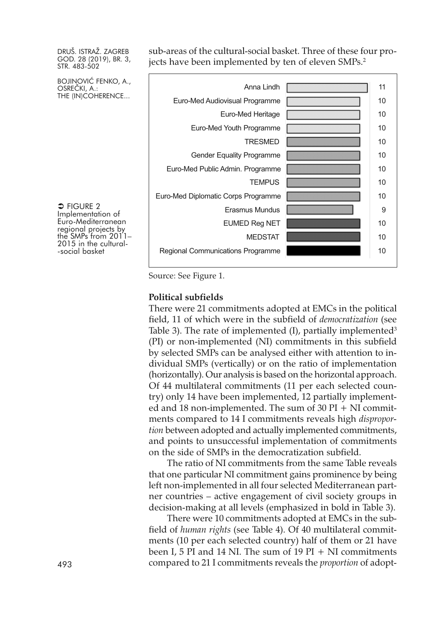BOJINOVIĆ FENKO, A., OSREČKI, A.: THE (IN)COHERENCE...

 $\supset$  FIGURE 2 Implementation of Euro-Mediterranean regional projects by 2015 in the cultural-<br>-social basket

sub-areas of the cultural-social basket. Three of these four projects have been implemented by ten of eleven SMPs. 2



Source: See Figure 1.

#### **Political subfields**

There were 21 commitments adopted at EMCs in the political field, 11 of which were in the subfield of *democratization* (see Table 3). The rate of implemented  $(I)$ , partially implemented<sup>3</sup> (PI) or non-implemented (NI) commitments in this subfield by selected SMPs can be analysed either with attention to individual SMPs (vertically) or on the ratio of implementation (horizontally). Our analysis is based on the horizontal approach. Of 44 multilateral commitments (11 per each selected country) only 14 have been implemented, 12 partially implemented and 18 non-implemented. The sum of 30 PI + NI commitments compared to 14 I commitments reveals high *disproportion* between adopted and actually implemented commitments, and points to unsuccessful implementation of commitments on the side of SMPs in the democratization subfield.

The ratio of NI commitments from the same Table reveals that one particular NI commitment gains prominence by being left non-implemented in all four selected Mediterranean partner countries – active engagement of civil society groups in decision-making at all levels (emphasized in bold in Table 3).

There were 10 commitments adopted at EMCs in the subfield of *human rights* (see Table 4). Of 40 multilateral commitments (10 per each selected country) half of them or 21 have been I, 5 PI and 14 NI. The sum of 19 PI  $+$  NI commitments 493 compared to 21 I commitments reveals the *proportion* of adopt-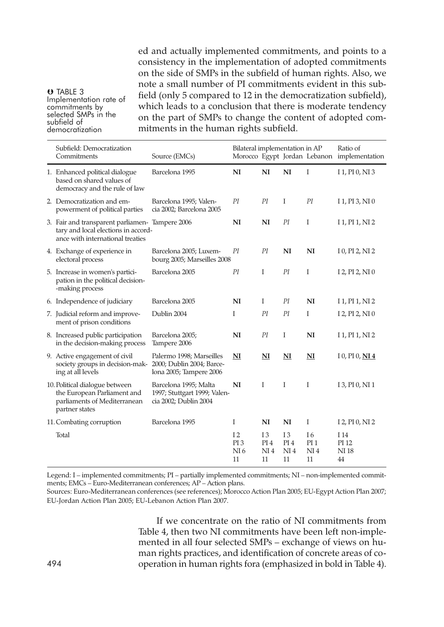**U** TABLE 3<br>Implementation rate of commitments by<br>selected SMPs in the<br>subfield of democratization

ed and actually implemented commitments, and points to a consistency in the implementation of adopted commitments on the side of SMPs in the subfield of human rights. Also, we note a small number of PI commitments evident in this subfield (only 5 compared to 12 in the democratization subfield), which leads to a conclusion that there is moderate tendency on the part of SMPs to change the content of adopted commitments in the human rights subfield.

| Subfield: Democratization<br>Commitments                                                                                   | Source (EMCs)                                                                    | Bilateral implementation in AP                 |                                           |                                                       |                                                | Ratio of<br>Morocco Egypt Jordan Lebanon implementation |
|----------------------------------------------------------------------------------------------------------------------------|----------------------------------------------------------------------------------|------------------------------------------------|-------------------------------------------|-------------------------------------------------------|------------------------------------------------|---------------------------------------------------------|
| 1. Enhanced political dialogue<br>based on shared values of<br>democracy and the rule of law                               | Barcelona 1995                                                                   | N <sub>I</sub>                                 | NI                                        | N <sub>I</sub>                                        | Ι                                              | I 1, PI 0, NI 3                                         |
| 2. Democratization and em-<br>powerment of political parties                                                               | Barcelona 1995; Valen-<br>cia 2002; Barcelona 2005                               | PI                                             | PI                                        | I                                                     | PI                                             | 11, PI 3, NI 0                                          |
| 3. Fair and transparent parliamen- Tampere 2006<br>tary and local elections in accord-<br>ance with international treaties |                                                                                  | N <sub>I</sub>                                 | N <sub>I</sub>                            | PI                                                    | I                                              | 11, PI 1, NI 2                                          |
| 4. Exchange of experience in<br>electoral process                                                                          | Barcelona 2005; Luxem-<br>bourg 2005; Marseilles 2008                            | PI                                             | PI                                        | N <sub>I</sub>                                        | NI                                             | I 0, PI 2, NI 2                                         |
| 5. Increase in women's partici-<br>pation in the political decision-<br>-making process                                    | Barcelona 2005                                                                   | PI                                             | I                                         | PI                                                    | I                                              | I 2, PI 2, NI 0                                         |
| 6. Independence of judiciary                                                                                               | Barcelona 2005                                                                   | NI                                             | Ι                                         | РI                                                    | NI                                             | I 1, PI 1, NI 2                                         |
| 7. Judicial reform and improve-<br>ment of prison conditions                                                               | Dublin 2004                                                                      | I                                              | PI                                        | PI                                                    | Ι                                              | I 2, PI 2, NI 0                                         |
| 8. Increased public participation<br>in the decision-making process                                                        | Barcelona 2005;<br>Tampere 2006                                                  | N <sub>I</sub>                                 | PI                                        | I                                                     | NI                                             | I 1, PI 1, NI 2                                         |
| 9. Active engagement of civil<br>society groups in decision-mak-<br>ing at all levels                                      | Palermo 1998; Marseilles<br>2000; Dublin 2004; Barce-<br>lona 2005; Tampere 2006 | NI                                             | $\underline{\mathbf{M}}$                  | N <sub>I</sub>                                        | $\mathbf{N}$                                   | I 0, PI 0, NI 4                                         |
| 10. Political dialogue between<br>the European Parliament and<br>parliaments of Mediterranean<br>partner states            | Barcelona 1995; Malta<br>1997; Stuttgart 1999; Valen-<br>cia 2002; Dublin 2004   | N <sub>I</sub>                                 | Ι                                         | I                                                     | Ι                                              | 13, PI 0, NI 1                                          |
| 11. Combating corruption                                                                                                   | Barcelona 1995                                                                   | Ι                                              | NI                                        | N <sub>I</sub>                                        | I                                              | I 2, PI 0, NI 2                                         |
| Total                                                                                                                      |                                                                                  | 12<br>PI <sub>3</sub><br>NI <sub>6</sub><br>11 | <b>I3</b><br>PI <sub>4</sub><br>NI4<br>11 | <b>I3</b><br>PI <sub>4</sub><br>NI <sub>4</sub><br>11 | I6<br>PI <sub>1</sub><br>NI <sub>4</sub><br>11 | I 14<br>PI 12<br><b>NI18</b><br>44                      |

Legend: I – implemented commitments; PI – partially implemented commitments; NI – non-implemented commitments; EMCs – Euro-Mediterranean conferences; AP – Action plans.

Sources: Euro-Mediterranean conferences (see references); Morocco Action Plan 2005; EU-Egypt Action Plan 2007; EU-Jordan Action Plan 2005; EU-Lebanon Action Plan 2007.

If we concentrate on the ratio of NI commitments from Table 4, then two NI commitments have been left non-implemented in all four selected SMPs – exchange of views on human rights practices, and identification of concrete areas of co-494 operation in human rights fora (emphasized in bold in Table 4).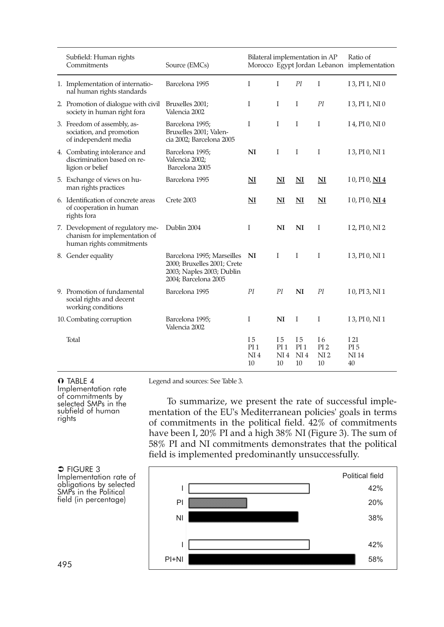| Subfield: Human rights<br>Commitments                                                         | Source (EMCs)                                                                                                  | Bilateral implementation in AP                             |                                                |                                                |                                                | Ratio of<br>Morocco Egypt Jordan Lebanon implementation |
|-----------------------------------------------------------------------------------------------|----------------------------------------------------------------------------------------------------------------|------------------------------------------------------------|------------------------------------------------|------------------------------------------------|------------------------------------------------|---------------------------------------------------------|
| 1. Implementation of internatio-<br>nal human rights standards                                | Barcelona 1995                                                                                                 | Ι                                                          | I                                              | PI                                             | I                                              | 13, PI 1, NI 0                                          |
| 2. Promotion of dialogue with civil<br>society in human right fora                            | Bruxelles 2001;<br>Valencia 2002                                                                               | I                                                          | Ι                                              | Ι                                              | PI                                             | 13, PI 1, NI 0                                          |
| 3. Freedom of assembly, as-<br>sociation, and promotion<br>of independent media               | Barcelona 1995;<br>Bruxelles 2001; Valen-<br>cia 2002; Barcelona 2005                                          | I                                                          | Ι                                              | Ι                                              | Ι                                              | 14, PI 0, NI 0                                          |
| 4. Combating intolerance and<br>discrimination based on re-<br>ligion or belief               | Barcelona 1995;<br>Valencia 2002;<br>Barcelona 2005                                                            | NI                                                         | Ι                                              | Ι                                              | I                                              | 13, PI 0, NI 1                                          |
| 5. Exchange of views on hu-<br>man rights practices                                           | Barcelona 1995                                                                                                 | NI                                                         | $\underline{\mathbf{M}}$                       | $\underline{\mathbf{M}}$                       | NI                                             | 10, P10, N14                                            |
| 6. Identification of concrete areas<br>of cooperation in human<br>rights fora                 | Crete 2003                                                                                                     | $\overline{\mathbf{M}}$                                    | $\mathbf{M}$                                   | $\mathbf{M}$                                   | $\mathbf{M}$                                   | $I$ 0, PI 0, $N$ I 4                                    |
| 7. Development of regulatory me-<br>chanism for implementation of<br>human rights commitments | Dublin 2004                                                                                                    | I                                                          | NI                                             | N <sub>I</sub>                                 | Ι                                              | I 2, PI 0, NI 2                                         |
| 8. Gender equality                                                                            | Barcelona 1995; Marseilles<br>2000; Bruxelles 2001; Crete<br>2003; Naples 2003; Dublin<br>2004; Barcelona 2005 | NI                                                         | L                                              | <b>I</b>                                       | Ι                                              | 13, PI 0, NI 1                                          |
| 9. Promotion of fundamental<br>social rights and decent<br>working conditions                 | Barcelona 1995                                                                                                 | PI                                                         | PI                                             | N <sub>I</sub>                                 | PI                                             | 10, PI 3, NI 1                                          |
| 10. Combating corruption                                                                      | Barcelona 1995;<br>Valencia 2002                                                                               | Ι                                                          | N <sub>I</sub>                                 | <b>I</b>                                       | Ι                                              | 13, PI 0, NI 1                                          |
| Total                                                                                         |                                                                                                                | I <sub>5</sub><br>PI <sub>1</sub><br>NI <sub>4</sub><br>10 | I <sub>5</sub><br>PI <sub>1</sub><br>NI4<br>10 | I <sub>5</sub><br>PI <sub>1</sub><br>NI4<br>10 | I6<br>PI <sub>2</sub><br>NI <sub>2</sub><br>10 | I 21<br>PI <sub>5</sub><br><b>NI</b> 14<br>40           |

**O** TABLE 4<br>Implementation rate of commitments by selected SMPs in the subfield of human rights Legend and sources: See Table 3.

To summarize, we present the rate of successful implementation of the EU's Mediterranean policies' goals in terms of commitments in the political field. 42% of commitments have been I, 20% PI and a high 38% NI (Figure 3). The sum of 58% PI and NI commitments demonstrates that the political field is implemented predominantly unsuccessfully.



 $\bigcirc$  FIGURE 3 Implementation rate of obligations by selected SMPs in the Political field (in percentage)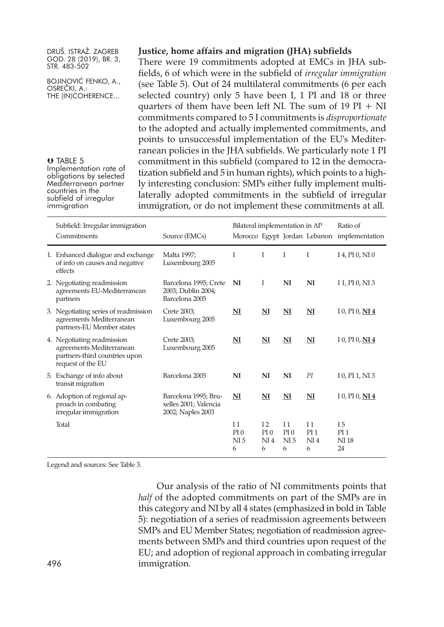BOJINOVIĆ FENKO, A., OSREČKI, A.: THE (IN)COHERENCE...

**U** TABLE 5<br>Implementation rate of obligations by selected<br>Mediterranean partner countries in the<br>subfield of irregular<br>immigration

#### **Justice, home affairs and migration (JHA) subfields**

There were 19 commitments adopted at EMCs in JHA subfields, 6 of which were in the subfield of *irregular immigration* (see Table 5). Out of 24 multilateral commitments (6 per each selected country) only 5 have been I, 1 PI and 18 or three quarters of them have been left NI. The sum of  $19 \text{ PI} + \text{NI}$ commitments compared to 5 I commitments is *disproportionate* to the adopted and actually implemented commitments, and points to unsuccessful implementation of the EU's Mediterranean policies in the JHA subfields. We particularly note 1 PI commitment in this subfield (compared to 12 in the democratization subfield and 5 in human rights), which points to a highly interesting conclusion: SMPs either fully implement multilaterally adopted commitments in the subfield of irregular immigration, or do not implement these commitments at all.

| Subfield: Irregular immigration<br>Commitments                                                               | Source (EMCs)                                                      | Bilateral implementation in AP                            |                                   |                                                           |                                   | Ratio of<br>Morocco Egypt Jordan Lebanon implementation |
|--------------------------------------------------------------------------------------------------------------|--------------------------------------------------------------------|-----------------------------------------------------------|-----------------------------------|-----------------------------------------------------------|-----------------------------------|---------------------------------------------------------|
| 1. Enhanced dialogue and exchange<br>of info on causes and negative<br>effects                               | Malta 1997;<br>Luxembourg 2005                                     | Ι                                                         | I                                 | Ι                                                         | I                                 | I 4, PI 0, NI 0                                         |
| 2. Negotiating readmission<br>agreements EU-Mediterranean<br>partners                                        | Barcelona 1995; Crete<br>2003; Dublin 2004;<br>Barcelona 2005      | NI                                                        | I                                 | NI                                                        | NI                                | 11, PI 0, NI 3                                          |
| 3. Negotiating series of readmission<br>agreements Mediterranean<br>partners-EU Member states                | Crete 2003;<br>Luxembourg 2005                                     | $\underline{\mathbf{M}}$                                  | $\underline{\mathbf{M}}$          | $\underline{\mathbf{M}}$                                  | $\underline{\mathbf{M}}$          | 10, P10, N14                                            |
| 4. Negotiating readmission<br>agreements Mediterranean<br>partners-third countries upon<br>request of the EU | Crete 2003:<br>Luxembourg 2005                                     | $\underline{\mathbf{M}}$                                  | $\underline{\mathbf{M}}$          | $\underline{\mathbf{M}}$                                  | $\underline{\mathbf{M}}$          | $I$ 0, PI 0, $NI$ 4                                     |
| 5. Exchange of info about<br>transit migration                                                               | Barcelona 2005                                                     | N <sub>I</sub>                                            | NI                                | N <sub>I</sub>                                            | PI                                | I 0, PI 1, NI 3                                         |
| 6. Adoption of regional ap-<br>proach in combating<br>irregular immigration                                  | Barcelona 1995; Bru-<br>xelles 2001; Valencia<br>2002; Naples 2003 | NI                                                        | $\mathbf{M}$                      | $\mathbf{N}$                                              | $\mathbf{N}$                      | 10, P10, NI4                                            |
| Total                                                                                                        |                                                                    | I <sub>1</sub><br>PI <sub>0</sub><br>NI <sub>5</sub><br>6 | 12<br>PI <sub>0</sub><br>NI4<br>6 | I <sub>1</sub><br>PI <sub>0</sub><br>NI <sub>5</sub><br>6 | 11<br>PI <sub>1</sub><br>NI4<br>6 | I <sub>5</sub><br>PI <sub>1</sub><br><b>NI18</b><br>24  |

Legend and sources: See Table 3.

Our analysis of the ratio of NI commitments points that *half* of the adopted commitments on part of the SMPs are in this category and NI by all 4 states (emphasized in bold in Table 5): negotiation of a series of readmission agreements between SMPs and EU Member States; negotiation of readmission agreements between SMPs and third countries upon request of the EU; and adoption of regional approach in combating irregular immigration.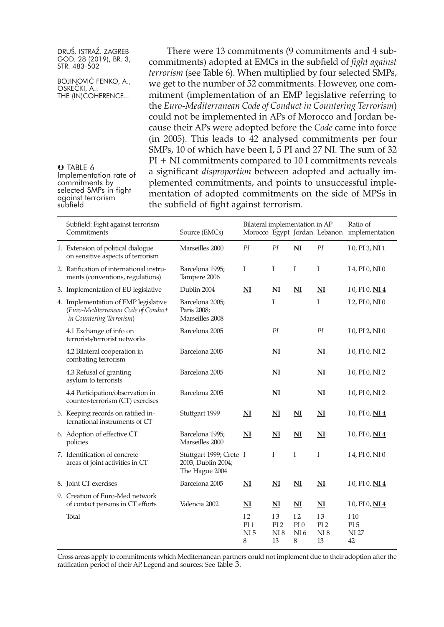BOJINOVIĆ FENKO, A., OSREČKI, A.: THE (IN)COHERENCE...

**U** TABLE 6<br>Implementation rate of Implementation rate of commitments by selected SMPs in fight against terrorism subfield

There were 13 commitments (9 commitments and 4 subcommitments) adopted at EMCs in the subfield of *fight against terrorism* (see Table 6). When multiplied by four selected SMPs, we get to the number of 52 commitments. However, one commitment (implementation of an EMP legislative referring to the *Euro-Mediterranean Code of Conduct in Countering Terrorism*) could not be implemented in APs of Morocco and Jordan because their APs were adopted before the *Code* came into force (in 2005). This leads to 42 analysed commitments per four SMPs, 10 of which have been I, 5 PI and 27 NI. The sum of 32 PI + NI commitments compared to 10 I commitments reveals a significant *disproportion* between adopted and actually implemented commitments, and points to unsuccessful implementation of adopted commitments on the side of MPSs in the subfield of fight against terrorism.

| Subfield: Fight against terrorism<br>Commitments                                                        | Source (EMCs)                                                   | Bilateral implementation in AP                |                                                 |                                               | Morocco Egypt Jordan Lebanon                    | Ratio of<br>implementation                   |
|---------------------------------------------------------------------------------------------------------|-----------------------------------------------------------------|-----------------------------------------------|-------------------------------------------------|-----------------------------------------------|-------------------------------------------------|----------------------------------------------|
| 1. Extension of political dialogue<br>on sensitive aspects of terrorism                                 | Marseilles 2000                                                 | PI                                            | PI                                              | NI                                            | PI                                              | 10, PI 3, NI 1                               |
| 2. Ratification of international instru-<br>ments (conventions, regulations)                            | Barcelona 1995;<br>Tampere 2006                                 | I                                             | I                                               | Ι                                             | Ι                                               | 14, PI 0, NI 0                               |
| 3. Implementation of EU legislative                                                                     | Dublin 2004                                                     | NI                                            | N <sub>I</sub>                                  | NI                                            | NI                                              | I 0, PI 0, NI 4                              |
| 4. Implementation of EMP legislative<br>(Euro-Mediterranean Code of Conduct<br>in Countering Terrorism) | Barcelona 2005;<br>Paris 2008;<br>Marseilles 2008               |                                               | T                                               |                                               | T                                               | I 2, PI 0, NI 0                              |
| 4.1 Exchange of info on<br>terrorists/terrorist networks                                                | Barcelona 2005                                                  |                                               | PI                                              |                                               | PI                                              | 10, PI 2, NI 0                               |
| 4.2 Bilateral cooperation in<br>combating terrorism                                                     | Barcelona 2005                                                  |                                               | N <sub>I</sub>                                  |                                               | NI                                              | I 0, PI 0, NI 2                              |
| 4.3 Refusal of granting<br>asylum to terrorists                                                         | Barcelona 2005                                                  |                                               | N <sub>I</sub>                                  |                                               | NI                                              | 10, PI0, NI2                                 |
| 4.4 Participation/observation in<br>counter-terrorism (CT) exercises                                    | Barcelona 2005                                                  |                                               | N <sub>I</sub>                                  |                                               | NI                                              | 10, PI0, NI2                                 |
| 5. Keeping records on ratified in-<br>ternational instruments of CT                                     | Stuttgart 1999                                                  | $\mathbf{N}$                                  | $\mathbf{M}$                                    | $\mathbf{N}$                                  | N <sub>I</sub>                                  | $I$ 0, PI 0, $NI$ 4                          |
| 6. Adoption of effective CT<br>policies                                                                 | Barcelona 1995;<br>Marseilles 2000                              | $\overline{\mathbf{M}}$                       | $\underline{\mathbf{M}}$                        | $\mathbf{M}$                                  | $\overline{\mathbf{M}}$                         | 10, P10, N14                                 |
| 7. Identification of concrete<br>areas of joint activities in CT                                        | Stuttgart 1999; Crete I<br>2003, Dublin 2004;<br>The Hague 2004 |                                               | I                                               | I                                             | I                                               | I 4, PI 0, NI 0                              |
| 8. Joint CT exercises                                                                                   | Barcelona 2005                                                  | $\underline{\mathbf{M}}$                      | $\underline{\mathbf{M}}$                        | NI                                            | $\overline{\mathbf{M}}$                         | $I$ 0, $PI$ 0, $NI$ 4                        |
| 9. Creation of Euro-Med network<br>of contact persons in CT efforts                                     | Valencia 2002                                                   | $\underline{\mathbf{M}}$                      | $\underline{\mathbf{M}}$                        | $\underline{\mathbf{M}}$                      | $\underline{\mathbf{M}}$                        | I 0, PI 0, NI 4                              |
| Total                                                                                                   |                                                                 | 12<br>PI <sub>1</sub><br>NI <sub>5</sub><br>8 | I <sub>3</sub><br>PI <sub>2</sub><br>NI 8<br>13 | 12<br>PI <sub>0</sub><br>NI <sub>6</sub><br>8 | I <sub>3</sub><br>PI <sub>2</sub><br>NI 8<br>13 | I 10<br>PI <sub>5</sub><br><b>NI27</b><br>42 |

Cross areas apply to commitments which Mediterranean partners could not implement due to their adoption afterthe ratification period of their AP. Legend and sources: See Table 3.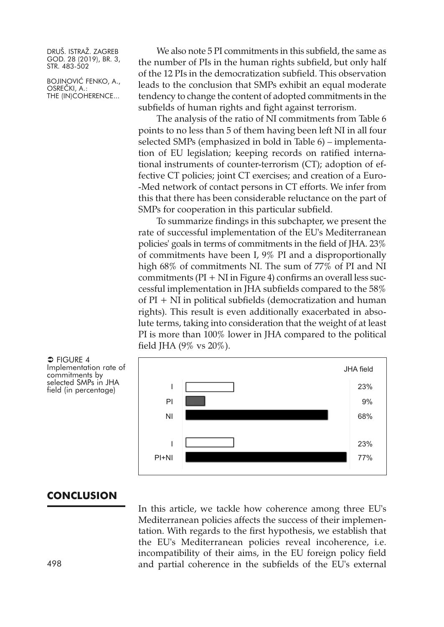BOJINOVIĆ FENKO, A., OSREČKI, A.: THE (IN)COHERENCE...

We also note 5 PI commitments in this subfield, the same as the number of PIs in the human rights subfield, but only half of the 12 PIs in the democratization subfield. This observation leads to the conclusion that SMPs exhibit an equal moderate tendency to change the content of adopted commitments in the subfields of human rights and fight against terrorism.

The analysis of the ratio of NI commitments from Table 6 points to no less than 5 of them having been left NI in all four selected SMPs (emphasized in bold in Table 6) – implementation of EU legislation; keeping records on ratified international instruments of counter-terrorism (CT); adoption of effective CT policies; joint CT exercises; and creation of a Euro- -Med network of contact persons in CT efforts. We infer from this that there has been considerable reluctance on the part of SMPs for cooperation in this particular subfield.

To summarize findings in this subchapter, we present the rate of successful implementation of the EU's Mediterranean policies' goals in terms of commitments in the field of JHA. 23% of commitments have been I, 9% PI and a disproportionally high 68% of commitments NI. The sum of 77% of PI and NI commitments ( $PI + NI$  in Figure 4) confirms an overall less successful implementation in JHA subfields compared to the 58% of  $PI + NI$  in political subfields (democratization and human rights). This result is even additionally exacerbated in absolute terms, taking into consideration that the weight of at least PI is more than 100% lower in JHA compared to the political field JHA (9% vs 20%).





## **CONCLUSION**

In this article, we tackle how coherence among three EU's Mediterranean policies affects the success of their implementation. With regards to the first hypothesis, we establish that the EU's Mediterranean policies reveal incoherence, i.e. incompatibility of their aims, in the EU foreign policy field and partial coherence in the subfields of the EU's external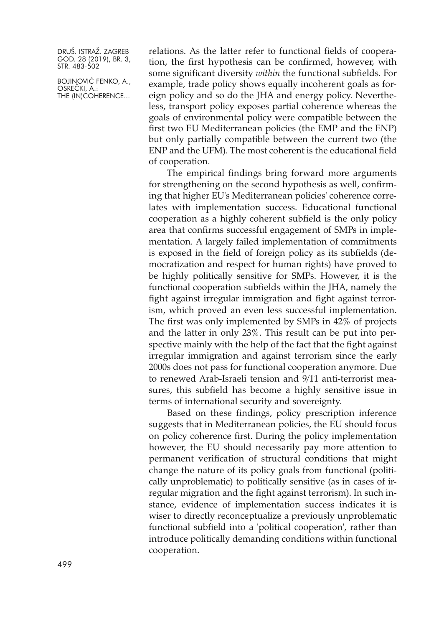BOJINOVIĆ FENKO, A., OSREČKI, A.: THE (IN)COHERENCE...

relations. As the latter refer to functional fields of cooperation, the first hypothesis can be confirmed, however, with some significant diversity *within* the functional subfields. For example, trade policy shows equally incoherent goals as foreign policy and so do the JHA and energy policy. Nevertheless, transport policy exposes partial coherence whereas the goals of environmental policy were compatible between the first two EU Mediterranean policies (the EMP and the ENP) but only partially compatible between the current two (the ENP and the UFM). The most coherent is the educational field of cooperation.

The empirical findings bring forward more arguments for strengthening on the second hypothesis as well, confirming that higher EU's Mediterranean policies' coherence correlates with implementation success. Educational functional cooperation as a highly coherent subfield is the only policy area that confirms successful engagement of SMPs in implementation. A largely failed implementation of commitments is exposed in the field of foreign policy as its subfields (democratization and respect for human rights) have proved to be highly politically sensitive for SMPs. However, it is the functional cooperation subfields within the JHA, namely the fight against irregular immigration and fight against terrorism, which proved an even less successful implementation. The first was only implemented by SMPs in 42% of projects and the latter in only 23%. This result can be put into perspective mainly with the help of the fact that the fight against irregular immigration and against terrorism since the early 2000s does not pass for functional cooperation anymore. Due to renewed Arab-Israeli tension and 9/11 anti-terrorist measures, this subfield has become a highly sensitive issue in terms of international security and sovereignty.

Based on these findings, policy prescription inference suggests that in Mediterranean policies, the EU should focus on policy coherence first. During the policy implementation however, the EU should necessarily pay more attention to permanent verification of structural conditions that might change the nature of its policy goals from functional (politically unproblematic) to politically sensitive (as in cases of irregular migration and the fight against terrorism). In such instance, evidence of implementation success indicates it is wiser to directly reconceptualize a previously unproblematic functional subfield into a 'political cooperation', rather than introduce politically demanding conditions within functional cooperation.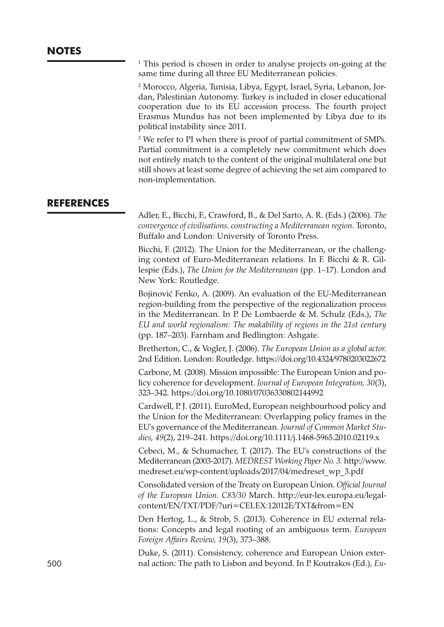<sup>1</sup> This period is chosen in order to analyse projects on-going at the same time during all three EU Mediterranean policies.

<sup>2</sup> Morocco, Algeria, Tunisia, Libya, Egypt, Israel, Syria, Lebanon, Jordan, Palestinian Autonomy. Turkey is included in closer educational cooperation due to its EU accession process. The fourth project Erasmus Mundus has not been implemented by Libya due to its political instability since 2011.

<sup>3</sup> We refer to PI when there is proof of partial commitment of SMPs. Partial commitment is a completely new commitment which does not entirely match to the content of the original multilateral one but still shows at least some degree of achieving the set aim compared to non-implementation.

# **REFERENCES**

Adler, E., Bicchi, F., Crawford, B., & Del Sarto, A. R. (Eds.) (2006). *The convergence of civilisations. constructing a Mediterranean region*. Toronto, Buffalo and London: University of Toronto Press.

Bicchi, F. (2012). The Union for the Mediterranean, or the challenging context of Euro-Mediterranean relations. In F. Bicchi & R. Gillespie (Eds.), *The Union for the Mediterranean* (pp. 1–17). London and New York: Routledge.

Bojinović Fenko, A. (2009). An evaluation of the EU-Mediterranean region-building from the perspective of the regionalization process in the Mediterranean. In P. De Lombaerde & M. Schulz (Eds.), *The EU and world regionalism: The makability of regions in the 21st century* (pp. 187–203). Farnham and Bedlington: Ashgate.

Bretherton, C., & Vogler, J. (2006). *The European Union as a global actor.* 2nd Edition. London: Routledge. <https://doi.org/10.4324/9780203022672>

Carbone, M. (2008). Mission impossible: The European Union and policy coherence for development. *Journal of European Integration, 30*(3), 323–342. <https://doi.org/10.1080/07036330802144992>

Cardwell, P. J. (2011). EuroMed, European neighbourhood policy and the Union for the Mediterranean: Overlapping policy frames in the EU's governance of the Mediterranean. *Journal of Common Market Studies, 49*(2), 219–241. <https://doi.org/10.1111/j.1468-5965.2010.02119.x>

Cebeci, M., & Schumacher, T. (2017). The EU's constructions of the Mediterranean (2003-2017). *MEDREST Working Paper No. 3.* [http://www.](http://www.medreset.eu/wp-content/uploads/2017/04/medreset_wp_3.pdf) [medreset.eu/wp-content/uploads/2017/04/medreset\\_wp\\_3.pdf](http://www.medreset.eu/wp-content/uploads/2017/04/medreset_wp_3.pdf)

Consolidated version of the Treaty on European Union. *Official Journal of the European Union. C83/30* March. [http://eur-lex.europa.eu/legal](http://eur-lex.europa.eu/legal-content/EN/TXT/PDF/?uri=CELEX:12012E/TXT&from=EN)[content/EN/TXT/PDF/?uri=CELEX:12012E/TXT&from=EN](http://eur-lex.europa.eu/legal-content/EN/TXT/PDF/?uri=CELEX:12012E/TXT&from=EN)

Den Hertog, L., & Strob, S. (2013). Coherence in EU external relations: Concepts and legal rooting of an ambiguous term. *European Foreign Affairs Review, 19*(3), 373–388.

Duke, S. (2011). Consistency, coherence and European Union exter-500 nal action: The path to Lisbon and beyond. In P. Koutrakos (Ed.), *Eu-*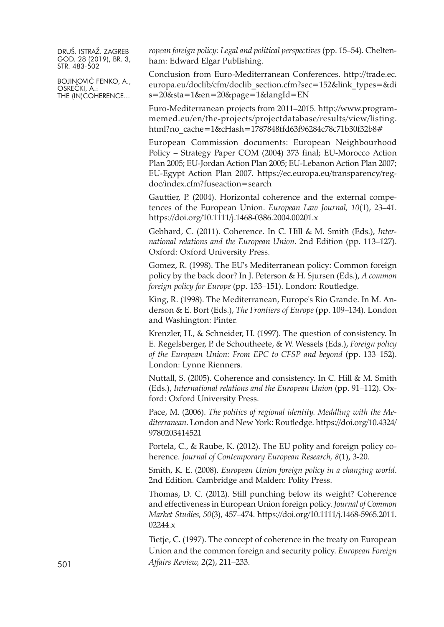BOJINOVIĆ FENKO, A., OSREČKI, A.: THE (IN)COHERENCE...

*ropean foreign policy: Legal and political perspectives* (pp. 15–54). Cheltenham: Edward Elgar Publishing.

Conclusion from Euro-Mediterranean Conferences. [http://trade.ec.](http://trade.ec.europa.eu/doclib/cfm/doclib_section.cfm?sec=152&link_types=&dis=20&sta=1&en=20&page=1&langId=EN) [europa.eu/doclib/cfm/doclib\\_section.cfm?sec=152&link\\_types=&di](http://trade.ec.europa.eu/doclib/cfm/doclib_section.cfm?sec=152&link_types=&dis=20&sta=1&en=20&page=1&langId=EN) [s=20&sta=1&en=20&page=1&langId=EN](http://trade.ec.europa.eu/doclib/cfm/doclib_section.cfm?sec=152&link_types=&dis=20&sta=1&en=20&page=1&langId=EN)

Euro-Mediterranean projects from 2011–2015. [http://www.program](http://www.programmemed.eu/en/the-projects/projectdatabase/results/view/listing.html?no_cache=1&cHash=1787848ffd63f96284c78c71b30f32b8)[memed.eu/en/the-projects/projectdatabase/results/view/listing.](http://www.programmemed.eu/en/the-projects/projectdatabase/results/view/listing.html?no_cache=1&cHash=1787848ffd63f96284c78c71b30f32b8) [html?no\\_cache=1&cHash=1787848ffd63f96284c78c71b30f32b8#](http://www.programmemed.eu/en/the-projects/projectdatabase/results/view/listing.html?no_cache=1&cHash=1787848ffd63f96284c78c71b30f32b8)

European Commission documents: European Neighbourhood Policy – Strategy Paper COM (2004) 373 final; EU-Morocco Action Plan 2005; EU-Jordan Action Plan 2005; EU-Lebanon Action Plan 2007; EU-Egypt Action Plan 2007. [https://ec.europa.eu/transparency/reg](https://ec.europa.eu/transparency/regdoc/index.cfm?fuseaction=search)[doc/index.cfm?fuseaction=search](https://ec.europa.eu/transparency/regdoc/index.cfm?fuseaction=search)

Gauttier, P. (2004). Horizontal coherence and the external competences of the European Union. *European Law Journal, 10*(1), 23–41. <https://doi.org/10.1111/j.1468-0386.2004.00201.x>

Gebhard, C. (2011). Coherence. In C. Hill & M. Smith (Eds.), *International relations and the European Union*. 2nd Edition (pp. 113–127). Oxford: Oxford University Press.

Gomez, R. (1998). The EU's Mediterranean policy: Common foreign policy by the back door? In J. Peterson & H. Sjursen (Eds.), *A common foreign policy for Europe* (pp. 133–151). London: Routledge.

King, R. (1998). The Mediterranean, Europe's Rio Grande. In M. Anderson & E. Bort (Eds.), *The Frontiers of Europe* (pp. 109–134). London and Washington: Pinter.

Krenzler, H., & Schneider, H. (1997). The question of consistency. In E. Regelsberger, P. de Schoutheete, & W. Wessels (Eds.), *Foreign policy of the European Union: From EPC to CFSP and beyond* (pp. 133–152). London: Lynne Rienners.

Nuttall, S. (2005). Coherence and consistency. In C. Hill & M. Smith (Eds.), *International relations and the European Union* (pp. 91–112). Oxford: Oxford University Press.

Pace, M. (2006). *The politics of regional identity. Meddling with the Mediterranean*. London and New York: Routledge. [https://doi.org/10.4324/](https://doi.org/10.4324/9780203414521) [9780203414521](https://doi.org/10.4324/9780203414521)

Portela, C., & Raube, K. (2012). The EU polity and foreign policy coherence. *Journal of Contemporary European Research, 8*(1), 3-20.

Smith, K. E. (2008). *European Union foreign policy in a changing world*. 2nd Edition. Cambridge and Malden: Polity Press.

Thomas, D. C. (2012). Still punching below its weight? Coherence and effectiveness in European Union foreign policy. *Journal of Common Market Studies, 50*(3), 457–474. [https://doi.org/10.1111/j.1468-5965.2011.](https://doi.org/10.1111/j.1468-5965.2011.02244.x) [02244.x](https://doi.org/10.1111/j.1468-5965.2011.02244.x)

Tietje, C. (1997). The concept of coherence in the treaty on European Union and the common foreign and security policy. *European Foreign Affairs Review, 2*(2), 211–233. 501